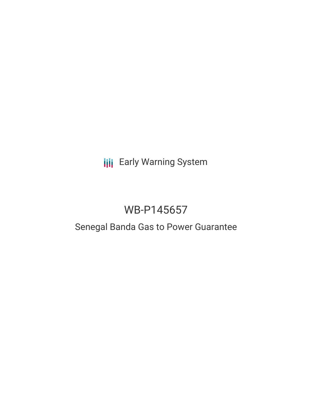# **III** Early Warning System

# WB-P145657

# Senegal Banda Gas to Power Guarantee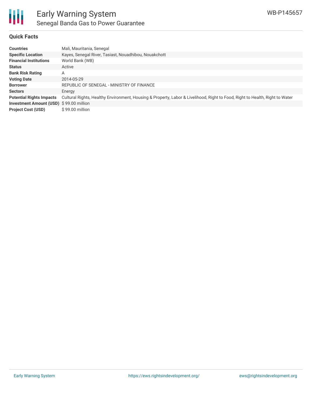

## **Quick Facts**

| Countries                               | Mali, Mauritania, Senegal                                                                                                    |
|-----------------------------------------|------------------------------------------------------------------------------------------------------------------------------|
| <b>Specific Location</b>                | Kayes, Senegal River, Tasiast, Nouadhibou, Nouakchott                                                                        |
| <b>Financial Institutions</b>           | World Bank (WB)                                                                                                              |
| Status                                  | Active                                                                                                                       |
| <b>Bank Risk Rating</b>                 | Α                                                                                                                            |
| <b>Voting Date</b>                      | 2014-05-29                                                                                                                   |
| <b>Borrower</b>                         | REPUBLIC OF SENEGAL - MINISTRY OF FINANCE                                                                                    |
| Sectors                                 | Energy                                                                                                                       |
| <b>Potential Rights Impacts</b>         | Cultural Rights, Healthy Environment, Housing & Property, Labor & Livelihood, Right to Food, Right to Health, Right to Water |
| Investment Amount (USD) \$99.00 million |                                                                                                                              |
| <b>Project Cost (USD)</b>               | $$99.00$ million                                                                                                             |
|                                         |                                                                                                                              |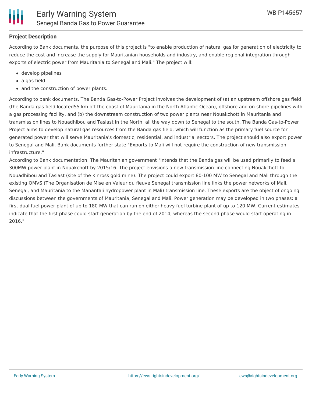

## **Project Description**

According to Bank documents, the purpose of this project is "to enable production of natural gas for generation of electricity to reduce the cost and increase the supply for Mauritanian households and industry, and enable regional integration through exports of electric power from Mauritania to Senegal and Mali." The project will:

- develop pipelines
- a gas field
- and the construction of power plants.

According to bank documents, The Banda Gas-to-Power Project involves the development of (a) an upstream offshore gas field (the Banda gas field located55 km off the coast of Mauritania in the North Atlantic Ocean), offshore and on-shore pipelines with a gas processing facility, and (b) the downstream construction of two power plants near Nouakchott in Mauritania and transmission lines to Nouadhibou and Tasiast in the North, all the way down to Senegal to the south. The Banda Gas-to-Power Project aims to develop natural gas resources from the Banda gas field, which will function as the primary fuel source for generated power that will serve Mauritania's domestic, residential, and industrial sectors. The project should also export power to Senegal and Mali. Bank documents further state "Exports to Mali will not require the construction of new transmission infrastructure."

According to Bank documentation, The Mauritanian government "intends that the Banda gas will be used primarily to feed a 300MW power plant in Nouakchott by 2015/16. The project envisions a new transmission line connecting Nouakchott to Nouadhibou and Tasiast (site of the Kinross gold mine). The project could export 80-100 MW to Senegal and Mali through the existing OMVS (The Organisation de Mise en Valeur du fleuve Senegal transmission line links the power networks of Mali, Senegal, and Mauritania to the Manantali hydropower plant in Mali) transmission line. These exports are the object of ongoing discussions between the governments of Mauritania, Senegal and Mali. Power generation may be developed in two phases: a first dual fuel power plant of up to 180 MW that can run on either heavy fuel turbine plant of up to 120 MW. Current estimates indicate that the first phase could start generation by the end of 2014, whereas the second phase would start operating in 2016."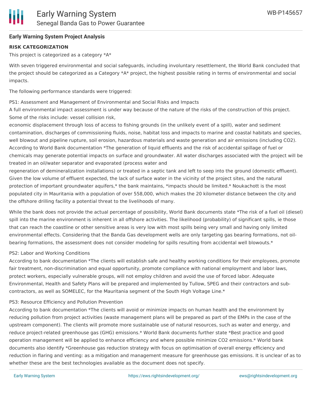## **Early Warning System Project Analysis**

## **RISK CATEGORIZATION**

This project is categorized as a category \*A\*

With seven triggered environmental and social safeguards, including involuntary resettlement, the World Bank concluded that the project should be categorized as a Category \*A\* project, the highest possible rating in terms of environmental and social impacts.

The following performance standards were triggered:

### PS1: Assessment and Management of Environmental and Social Risks and Impacts

A full environmental impact assessment is under way because of the nature of the risks of the construction of this project. Some of the risks include: vessel collision risk,

economic displacement through loss of access to fishing grounds (in the unlikely event of a spill), water and sediment contamination, discharges of commissioning fluids, noise, habitat loss and impacts to marine and coastal habitats and species, well blowout and pipeline rupture, soil erosion, hazardous materials and waste generation and air emissions (including CO2). According to World Bank documentation \*The generation of liquid effluents and the risk of accidental spillage of fuel or chemicals may generate potential impacts on surface and groundwater. All water discharges associated with the project will be treated in an oil/water separator and evaporated (process water and

regeneration of demineralization installations) or treated in a septic tank and left to seep into the ground (domestic effluent). Given the low volume of effluent expected, the lack of surface water in the vicinity of the project sites, and the natural protection of important groundwater aquifers,\* the bank maintains, \*impacts should be limited.\* Noukachott is the most populated city in Mauritania with a population of over 558,000, which makes the 20 kilometer distance between the city and the offshore drilling facility a potential threat to the livelihoods of many.

While the bank does not provide the actual percentage of possibility, World Bank documents state \*The risk of a fuel oil (diesel) spill into the marine environment is inherent in all offshore activities. The likelihood (probability) of significant spills, ie those that can reach the coastline or other sensitive areas is very low with most spills being very small and having only limited environmental effects. Considering that the Banda Gas development wells are only targeting gas bearing formations, not oilbearing formations, the assessment does not consider modeling for spills resulting from accidental well blowouts.\*

## PS2: Labor and Working Conditions

According to bank documentation \*The clients will establish safe and healthy working conditions for their employees, promote fair treatment, non-discrimination and equal opportunity, promote compliance with national employment and labor laws, protect workers, especially vulnerable groups, will not employ children and avoid the use of forced labor. Adequate Environmental, Health and Safety Plans will be prepared and implemented by Tullow, SPEG and their contractors and subcontractors, as well as SOMELEC, for the Mauritania segment of the South High Voltage Line.\*

#### PS3: Resource Efficiency and Pollution Prevention

According to bank documentation \*The clients will avoid or minimize impacts on human health and the environment by reducing pollution from project activities (waste management plans will be prepared as part of the EMPs in the case of the upstream component). The clients will promote more sustainable use of natural resources, such as water and energy, and reduce project-related greenhouse gas (GHG) emissions.\* World Bank documents further state \*Best practice and good operation management will be applied to enhance efficiency and where possible minimize CO2 emissions.\* World bank documents also identify \*Greenhouse gas reduction strategy with focus on optimisation of overall energy efficiency and reduction in flaring and venting: as a mitigation and management measure for greenhouse gas emissions. It is unclear of as to whether these are the best technologies available as the document does not specify.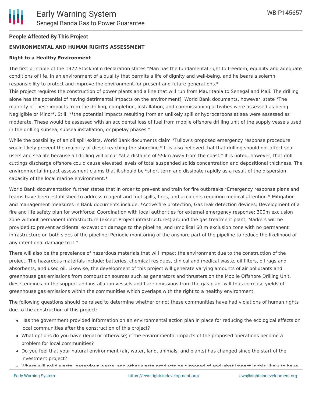# **People Affected By This Project**

# **ENVIRONMENTAL AND HUMAN RIGHTS ASSESSMENT**

## **Right to a Healthy Environment**

The first principle of the 1972 Stockholm declaration states \*Man has the fundamental right to freedom, equality and adequate conditions of life, in an environment of a quality that permits a life of dignity and well-being, and he bears a solemn responsibility to protect and improve the environment for present and future generations.\*

This project requires the construction of power plants and a line that will run from Mauritania to Senegal and Mali. The drilling alone has the potential of having detrimental impacts on the environment]. World Bank documents, however, state \*The majority of these impacts from the drilling, completion, installation, and commissioning activities were assessed as being Negligible or Minor\*. Still, \*\*the potential impacts resulting from an unlikely spill or hydrocarbons at sea were assessed as moderate. These would be assessed with an accidental loss of fuel from mobile offshore drilling unit of the supply vessels used in the drilling subsea, subsea installation, or pipelay phases.\*

While the possibility of an oil spill exists, World Bank documents claim \*Tullow's proposed emergency response procedure would likely prevent the majority of diesel reaching the shoreline.\* It is also believed that that drilling should not affect sea users and sea life because all drilling will occur \*at a distance of 55km away from the coast.\* It is noted, however, that drill cuttings discharge offshore could cause elevated levels of total suspended solids concentration and depositional thickness. The environmental impact assessment claims that it should be \*short term and dissipate rapidly as a result of the dispersion capacity of the local marine environment.\*

World Bank documentation further states that in order to prevent and train for fire outbreaks \*Emergency response plans and teams have been established to address reagent and fuel spills, fires, and accidents requiring medical attention.\* Mitigation and management measures in Bank documents include: \*Active fire protection; Gas leak detection devices; Development of a fire and life safety plan for workforce; Coordination with local authorities for external emergency response; 300m exclusion zone without permanent infrastructure (except Project infrastructures) around the gas treatment plant; Markers will be provided to prevent accidental excavation damage to the pipeline, and umbilical 60 m exclusion zone with no permanent infrastructure on both sides of the pipeline; Periodic monitoring of the onshore part of the pipeline to reduce the likelihood of any intentional damage to it.\*

There will also be the prevalence of hazardous materials that will impact the environment due to the construction of the project. The hazardous materials include: batteries, chemical residues, clinical and medical waste, oil filters, oil rags and absorbents, and used oil. Likewise, the development of this project will generate varying amounts of air pollutants and greenhouse gas emissions from combustion sources such as generators and thrusters on the Mobile Offshore Drilling Unit, diesel engines on the support and installation vessels and flare emissions from the gas plant will thus increase yields of greenhouse gas emissions within the communities which overlaps with the right to a healthy environment.

The following questions should be raised to determine whether or not these communities have had violations of human rights due to the construction of this project:

- Has the government provided information on an environmental action plan in place for reducing the ecological effects on local communities after the construction of this project?
- What options do you have (legal or otherwise) if the environmental impacts of the proposed operations become a problem for local communities?
- Do you feel that your natural environment (air, water, land, animals, and plants) has changed since the start of the investment project?
- Where will solid waste, hazardous waste, and other waste products be disposed of and what impact is this likely to have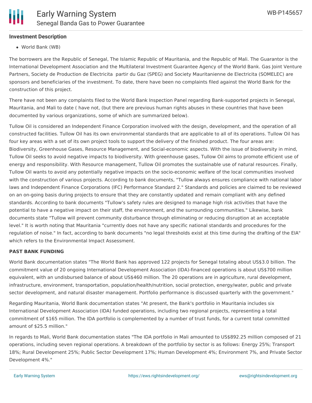## **Investment Description**

World Bank (WB)

The borrowers are the Republic of Senegal, The Islamic Republic of Mauritania, and the Republic of Mali. The Guarantor is the International Development Association and the Multilateral Investment Guarantee Agency of the World Bank. Gas Joint Venture Partners, Society de Production de Electricita partir du Gaz (SPEG) and Society Mauritanienne de Electricita (SOMELEC) are sponsors and beneficiaries of the investment. To date, there have been no complaints filed against the World Bank for the construction of this project.

There have not been any complaints filed to the World Bank Inspection Panel regarding Bank-supported projects in Senegal, Mauritania, and Mali to date ( have not, (but there are previous human rights abuses in these countries that have been documented by various organizations, some of which are summarized below).

Tullow Oil is considered an Independent Finance Corporation involved with the design, development, and the operation of all constructed facilities. Tullow Oil has its own environmental standards that are applicable to all of its operations. Tullow Oil has four key areas with a set of its own project tools to support the delivery of the finished product. The four areas are: Biodiversity, Greenhouse Gases, Resource Management, and Social-economic aspects. With the issue of biodiversity in mind, Tullow Oil seeks to avoid negative impacts to biodiversity. With greenhouse gases, Tullow Oil aims to promote efficient use of energy and responsibility. With Resource management, Tullow Oil promotes the sustainable use of natural resources. Finally, Tullow Oil wants to avoid any potentially negative impacts on the socio-economic welfare of the local communities involved with the construction of various projects. According to bank documents, "Tullow always ensures compliance with national labor laws and Independent Finance Corporations (IFC) Performance Standard 2." Standards and policies are claimed to be reviewed on an on-going basis during projects to ensure that they are constantly updated and remain compliant with any defined standards. According to bank documents "Tullow's safety rules are designed to manage high risk activities that have the potential to have a negative impact on their staff, the environment, and the surrounding communities." Likewise, bank documents state "Tullow will prevent community disturbance through eliminating or reducing disruption at an acceptable level." It is worth noting that Mauritania "currently does not have any specific national standards and procedures for the regulation of noise." In fact, according to bank documents "no legal thresholds exist at this time during the drafting of the EIA" which refers to the Environmental Impact Assessment.

#### **PAST BANK FUNDING**

World Bank documentation states "The World Bank has approved 122 projects for Senegal totaling about US\$3.0 billion. The commitment value of 20 ongoing International Development Association (IDA)-financed operations is about US\$700 million equivalent, with an undisbursed balance of about US\$460 million. The 20 operations are in agriculture, rural development, infrastructure, environment, transportation, population/health/nutrition, social protection, energy/water, public and private sector development, and natural disaster management. Portfolio performance is discussed quarterly with the government."

Regarding Mauritania, World Bank documentation states "At present, the Bank's portfolio in Mauritania includes six International Development Association (IDA) funded operations, including two regional projects, representing a total commitment of \$165 million. The IDA portfolio is complemented by a number of trust funds, for a current total committed amount of \$25.5 million."

In regards to Mali, World Bank documentation states "The IDA portfolio in Mali amounted to US\$892.25 million composed of 21 operations, including seven regional operations. A breakdown of the portfolio by sector is as follows: Energy 25%; Transport 18%; Rural Development 25%; Public Sector Development 17%; Human Development 4%; Environment 7%, and Private Sector Development 4%."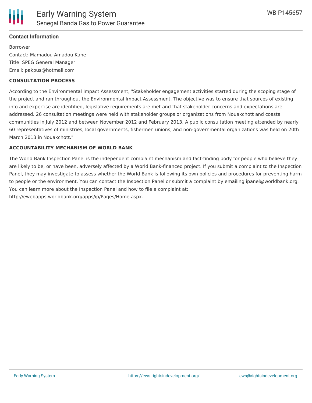

## **Contact Information**

Borrower Contact: Mamadou Amadou Kane Title: SPEG General Manager Email: pakpus@hotmail.com

### **CONSULTATION PROCESS**

According to the Environmental Impact Assessment, "Stakeholder engagement activities started during the scoping stage of the project and ran throughout the Environmental Impact Assessment. The objective was to ensure that sources of existing info and expertise are identified, legislative requirements are met and that stakeholder concerns and expectations are addressed. 26 consultation meetings were held with stakeholder groups or organizations from Nouakchott and coastal communities in July 2012 and between November 2012 and February 2013. A public consultation meeting attended by nearly 60 representatives of ministries, local governments, fishermen unions, and non-governmental organizations was held on 20th March 2013 in Nouakchott."

### **ACCOUNTABILITY MECHANISM OF WORLD BANK**

The World Bank Inspection Panel is the independent complaint mechanism and fact-finding body for people who believe they are likely to be, or have been, adversely affected by a World Bank-financed project. If you submit a complaint to the Inspection Panel, they may investigate to assess whether the World Bank is following its own policies and procedures for preventing harm to people or the environment. You can contact the Inspection Panel or submit a complaint by emailing ipanel@worldbank.org. You can learn more about the Inspection Panel and how to file a complaint at: http://ewebapps.worldbank.org/apps/ip/Pages/Home.aspx.